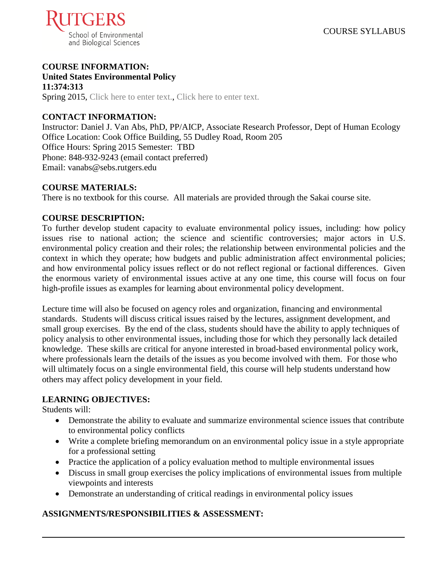

# **COURSE INFORMATION:**

**United States Environmental Policy 11:374:313** Spring 2015, Click here to enter text., Click here to enter text.

# **CONTACT INFORMATION:**

Instructor: Daniel J. Van Abs, PhD, PP/AICP, Associate Research Professor, Dept of Human Ecology Office Location: Cook Office Building, 55 Dudley Road, Room 205 Office Hours: Spring 2015 Semester: TBD Phone: 848-932-9243 (email contact preferred) Email: vanabs@sebs.rutgers.edu

## **COURSE MATERIALS:**

There is no textbook for this course. All materials are provided through the Sakai course site.

#### **COURSE DESCRIPTION:**

To further develop student capacity to evaluate environmental policy issues, including: how policy issues rise to national action; the science and scientific controversies; major actors in U.S. environmental policy creation and their roles; the relationship between environmental policies and the context in which they operate; how budgets and public administration affect environmental policies; and how environmental policy issues reflect or do not reflect regional or factional differences. Given the enormous variety of environmental issues active at any one time, this course will focus on four high-profile issues as examples for learning about environmental policy development.

Lecture time will also be focused on agency roles and organization, financing and environmental standards. Students will discuss critical issues raised by the lectures, assignment development, and small group exercises. By the end of the class, students should have the ability to apply techniques of policy analysis to other environmental issues, including those for which they personally lack detailed knowledge. These skills are critical for anyone interested in broad-based environmental policy work, where professionals learn the details of the issues as you become involved with them. For those who will ultimately focus on a single environmental field, this course will help students understand how others may affect policy development in your field.

## **LEARNING OBJECTIVES:**

Students will:

- Demonstrate the ability to evaluate and summarize environmental science issues that contribute to environmental policy conflicts
- Write a complete briefing memorandum on an environmental policy issue in a style appropriate for a professional setting
- Practice the application of a policy evaluation method to multiple environmental issues
- Discuss in small group exercises the policy implications of environmental issues from multiple viewpoints and interests
- Demonstrate an understanding of critical readings in environmental policy issues

## **ASSIGNMENTS/RESPONSIBILITIES & ASSESSMENT:**